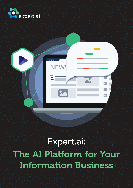

Expert.ai: The AI Platform for Your Information Business

 $\overline{\bullet}$ 

E

**NEWS**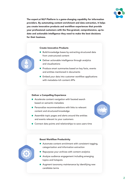

The expert.ai NLP Platform is a game-changing capability for information providers. By automating content enrichment and data extraction, it helps you create innovative products and workflow experiences that provide your professional customers with the fine-grained, comprehensive, up-todate and actionable intelligence they need to make the best decisions for their business.

#### Create Innovative Products

- Build knowledge bases by extracting structured data from unstructured content
- Deliver actionable intelligence through analytics and visualizations
- **Produce smart summaries based on key facts, events** and entities mentioned in documents
- **Embed your data into customer workflow applications** with metadata-rich content APIs

#### Deliver a Compelling Experience

- Accelerate content navigation with faceted search based on semantic metadata
- **•** Personalize recommendations with links to relevant content and structured knowledge
- Assemble topic pages and alerts around the entities and events relevant to your customers
- **Connect data points and relationships to save users time**

#### Boost Workflow Productivity

- Automate content enrichment with consistent tagging, categorization and information extraction
- Repurpose your archives with content analytics
- Analyze audience engagement including emerging topics and hotspots
- **Augment taxonomy maintenance by identifying new** candidate terms

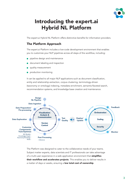

# Introducing the expert.ai Hybrid NL Platform

The expert.ai Hybrid NL Platform offers distinctive benefits for information providers.

### The Platform Approach

The expert.ai Platform includes a low-code development environment that enables you to customize your NLP pipelines across all steps of the workflow, including:

- **pipeline design and maintenance**
- document labeling and inspection
- quality measurement
- production monitoring

It can be applied to all major NLP applications such as document classification, entity and relationship extraction, corpus clustering, terminology-driven (taxonomy or ontology) indexing, metadata enrichment, semantic/faceted search, recommendation systems, and knowledge base creation and maintenance.



The Platform was designed to cater to the collaborative needs of your teams. Subject matter experts, data scientists and IT professionals can take advantage of a multi-user experience in a web application environment that simplifies their workflow and accelerates projects. This enables you to deliver results in a matter of days or weeks, ensuring a **low total cost of ownership**.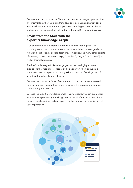

Because it is customizable, the Platform can be used across your product lines. The internal know-how you gain from developing a given application can be leveraged towards other internal applications, enabling economies of scale and accretive knowledge that deliver true enterprise ROI for your business.

# Smart from the Start with the expert.ai Knowledge Graph

A unique feature of the expert.ai Platform is its knowledge graph. The knowledge graph incorporates a vast trove of established knowledge about real-world entities (e.g., people, locations, companies, and many other objects of interest), concepts of interest (e.g., "president", "region" or "disease") as well as their relationships.

The Platform leverages its knowledge graph to ensure highly accurate predictions that recognize concepts and objects even when language is ambiguous. For example, it can distinguish the concept of stock (a form of inventory) from stock (a form of capital).

Because the platform is "smart from the start", it can deliver accurate results from day one, saving your team weeks of work in the implementation phase and reducing time to value.

Because the expert.ai knowledge graph is customizable, you can augment it with your own proprietary knowledge to increase platform awareness about domain-specific entities and concepts as well as improve the effectiveness of your applications.

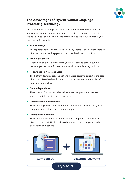

## The Advantages of Hybrid Natural Language Processing Technology

Unlike competing offerings, the expert.ai Platform combines both machine learning and symbolic natural language processing technologies. This gives you the flexibility to fit your NLP pipeline architecture to the requirements of your use case, which include:

#### **•** Explainability:

For applications that prioritize explainability, expert.ai offers 'explainable AI' pipeline options that help you to overcome 'black box' limitations.

#### **•** Project Scalability:

Depending on available resources, you can choose to capture subject matter expertise in the form of heuristics, document labeling, or both.

#### ● Robustness to Noise and Bias:

The Platform features pipeline options that are easier to correct in the case of noisy or biased real-world data, as opposed to more common A-to-Z retraining approaches.

#### **Data Independence:**

The expert.ai Platform includes architectures that provide results even when no or little training data is available.

### **Computational Performance:**

The Platform provides pipeline tradeoffs that help balance accuracy with computational cost and environmental impact.

### Deployment Flexibility:

The Platform accommodates both cloud and on-premise deployments, giving you the flexibility to address data-sensitive and computationally demanding applications.

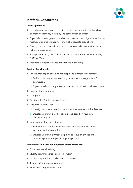

### Platform Capabilities

#### Core Capabilities:

- Hybrid natural language processing architecture supports pipelines based on machine learning, symbolic, and combination approaches.
- Expert.ai's knowledge graph enables word-sense disambiguation and entity resolution for efficient workflow and highly accurate predictions.
- Deeply customizable architecture provides low-code personalization and extension capabilities.
- High-performance, fully scalable API for easy integration with your CMS, DAM, or MAM.
- **Production API performance and lifecycle monitoring.**

#### Content Enrichment:

- Off-the-shelf expert.ai knowledge graph and extraction models for:
	- Entities: people's names, company names, locations (geonames), addresses […]
	- Topics : media topics, geotaxonomies, emotional traits, behavioral trats
- **■** Sentiment and emotions
- **Writeprint**
- Relationships (Subject-Action-Object)
- Document classification
	- O Classify documents based on topics, entities, events or other features
	- Develop your own classification pipeline based on your own classification plan
- **•** Entity and relationship extraction
	- Extract topics, entities, events or other features, as well as their attributes and relationships
	- O Develop your own extraction pipeline to focus on entities and relationships that are specific to your application

#### Web-based, low-code development environment for:

- **Extraction model training**
- Quality assurance (precision/recall/f-factor)
- Golden corpus editing and extraction curation
- **Taxonomy/ontology management**
- **Knowledge graph customization**